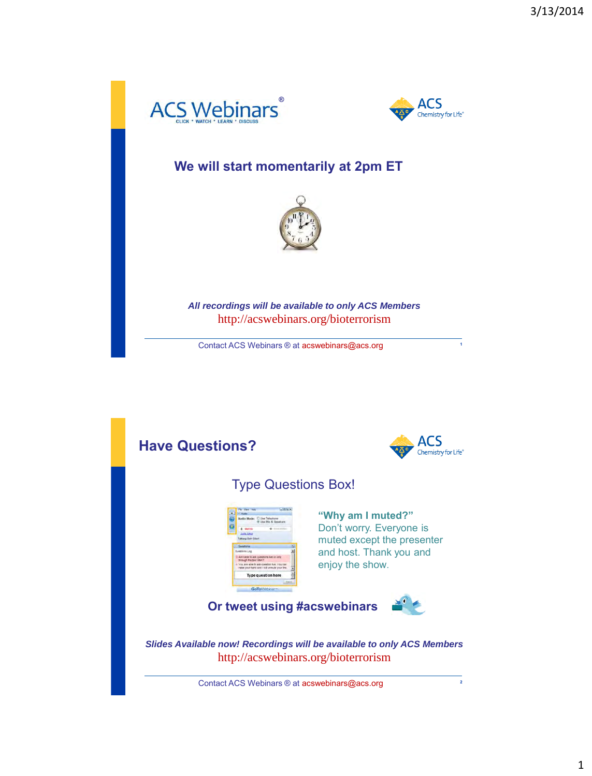



## **We will start momentarily at 2pm ET**



*All recordings will be available to only ACS Members*  http://acswebinars.org/bioterrorism

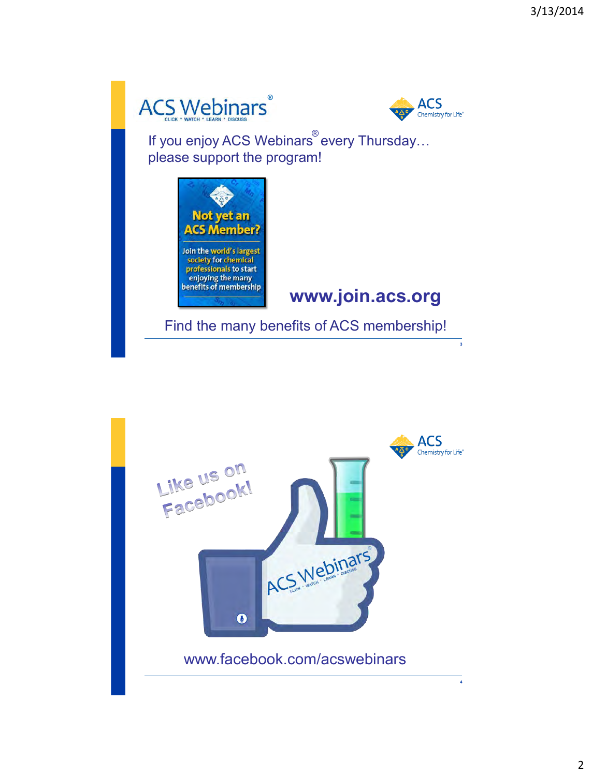



If you enjoy ACS Webinars every Thursday… please support the program!



## **www.join.acs.org**

Find the many benefits of ACS membership!

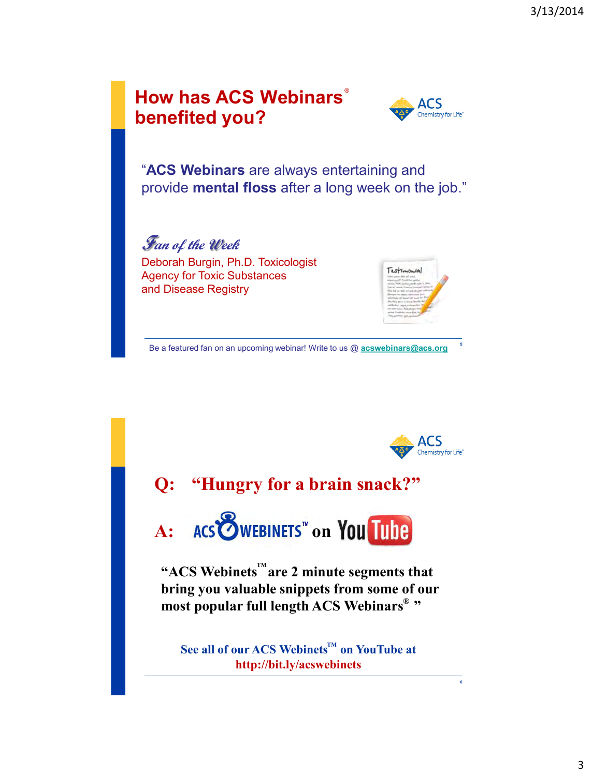



"**ACS Webinars** are always entertaining and provide **mental floss** after a long week on the job."

**Fan of the Week** Deborah Burgin, Ph.D. Toxicologist Agency for Toxic Substances and Disease Registry



Be a featured fan on an upcoming webinar! Write to us @ **[acswebinars@acs.org](mailto:acswebinars@acs.org) <sup>5</sup>**



**6**

# **Q: "Hungry for a brain snack?"**

A: ACS **WEBINETS** on You Tube

"ACS Webinets<sup>"</sup> are 2 minute segments that **bring you valuable snippets from some of our most popular full length ACS Webinars " ®**

 $\mathbf{See}$  all of our ACS Webinets<sup>™</sup> on YouTube at **http://bit.ly/acswebinets**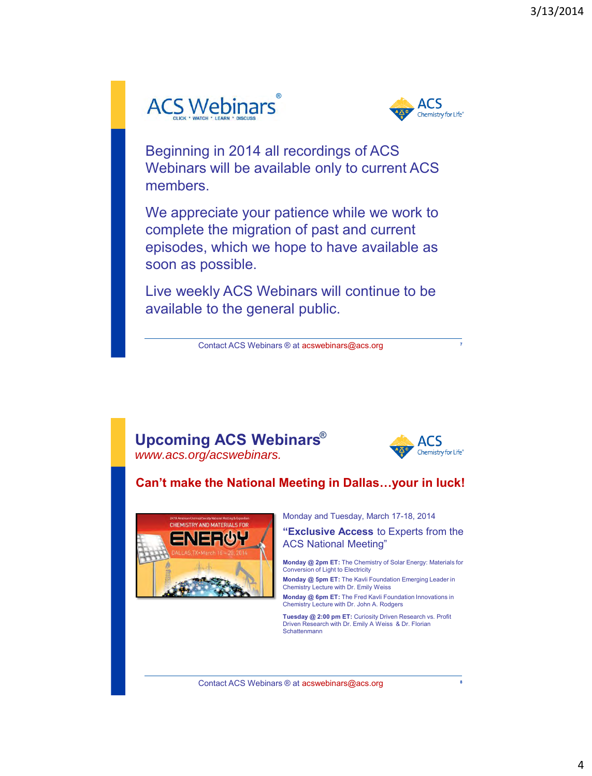# **ACS Webinars**



Beginning in 2014 all recordings of ACS Webinars will be available only to current ACS members.

We appreciate your patience while we work to complete the migration of past and current episodes, which we hope to have available as soon as possible.

Live weekly ACS Webinars will continue to be available to the general public.

Contact ACS Webinars ® at acswebinars@acs.org

#### **Upcoming ACS Webinars** ® *www.acs.org/acswebinars.*



**7**

#### **Can't make the National Meeting in Dallas…your in luck!**



Monday and Tuesday, March 17-18, 2014

**"Exclusive Access** to Experts from the ACS National Meeting"

**Monday @ 2pm ET:** The Chemistry of Solar Energy: Materials for Conversion of Light to Electricity

**Monday @ 5pm ET:** The Kavli Foundation Emerging Leader in Chemistry Lecture with Dr. Emily Weiss

**Monday @ 6pm ET:** The Fred Kavli Foundation Innovations in Chemistry Lecture with Dr. John A. Rodgers

**Tuesday @ 2:00 pm ET:** Curiosity Driven Research vs. Profit Driven Research with Dr. Emily A Weiss & Dr. Florian **Schattenmann** 

Contact ACS Webinars ® at acswebinars@acs.org

**8**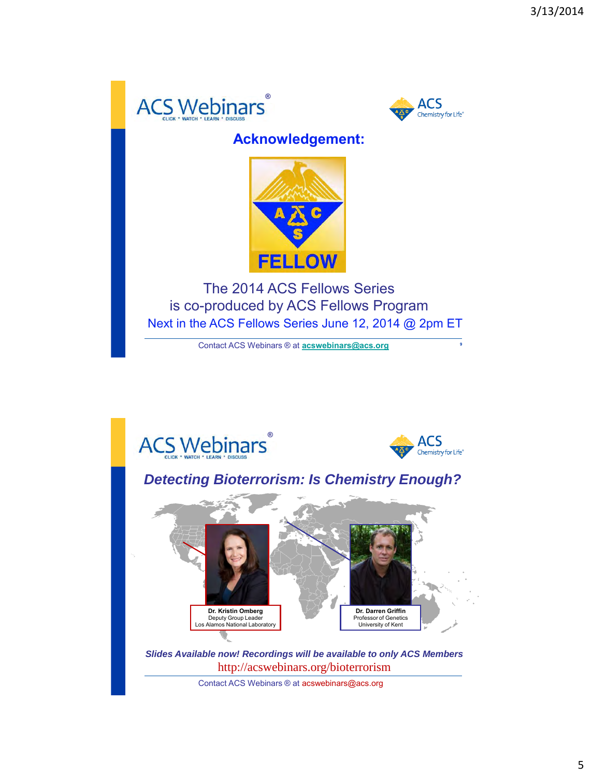



## **Acknowledgement:**



The 2014 ACS Fellows Series is co-produced by ACS Fellows Program Next in the ACS Fellows Series June 12, 2014 @ 2pm ET

Contact ACS Webinars ® at **[acswebinars@acs.org](mailto:acswebinars@acs.org)**

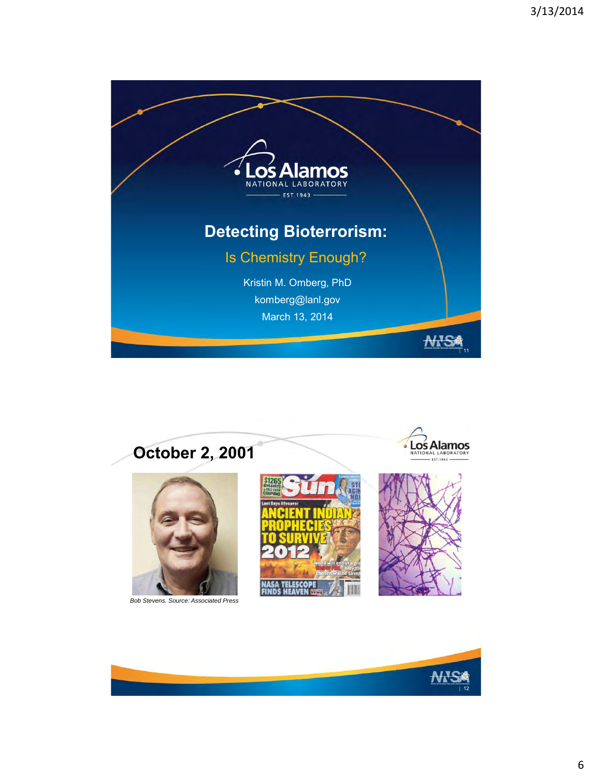



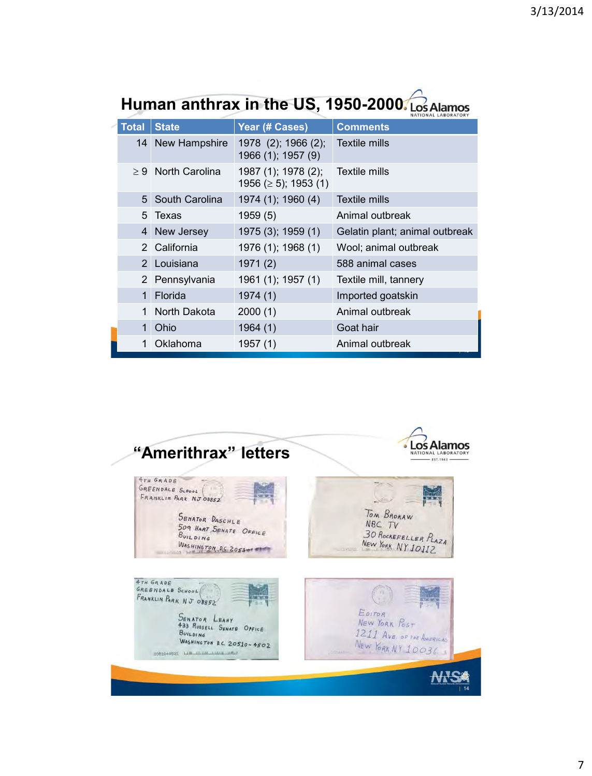| <b>Total</b>    | <b>State</b>            | Year (# Cases)                                    | <b>Comments</b>                |
|-----------------|-------------------------|---------------------------------------------------|--------------------------------|
| 14 <sup>1</sup> | New Hampshire           | 1978 (2); 1966 (2);<br>1966 (1); 1957 (9)         | Textile mills                  |
|                 | $\geq 9$ North Carolina | 1987 (1); 1978 (2);<br>1956 ( $\geq$ 5); 1953 (1) | Textile mills                  |
|                 | 5 South Carolina        | 1974 (1); 1960 (4)                                | Textile mills                  |
|                 | 5 Texas                 | 1959(5)                                           | Animal outbreak                |
| 4               | New Jersey              | 1975 (3); 1959 (1)                                | Gelatin plant; animal outbreak |
|                 | 2 California            | 1976 (1); 1968 (1)                                | Wool; animal outbreak          |
|                 | 2 Louisiana             | 1971(2)                                           | 588 animal cases               |
|                 | 2 Pennsylvania          | 1961 (1); 1957 (1)                                | Textile mill, tannery          |
| 1               | Florida                 | 1974 (1)                                          | Imported goatskin              |
| 1               | North Dakota            | 2000(1)                                           | Animal outbreak                |
| 1               | Ohio                    | 1964(1)                                           | Goat hair                      |
| 1               | Oklahoma                | 1957 (1)                                          | Animal outbreak                |

## Human anthrax in the US, 1950-2000. Los Alamos

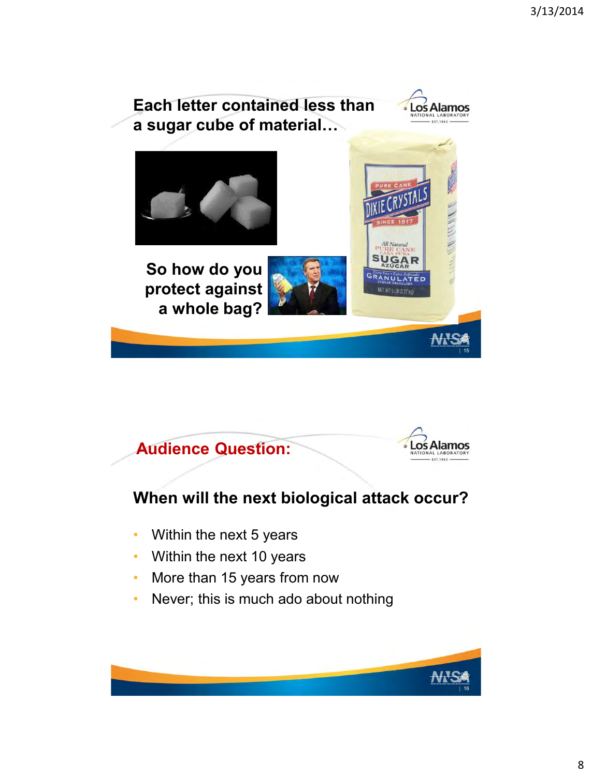





## **When will the next biological attack occur?**

- Within the next 5 years
- Within the next 10 years
- More than 15 years from now
- Never; this is much ado about nothing

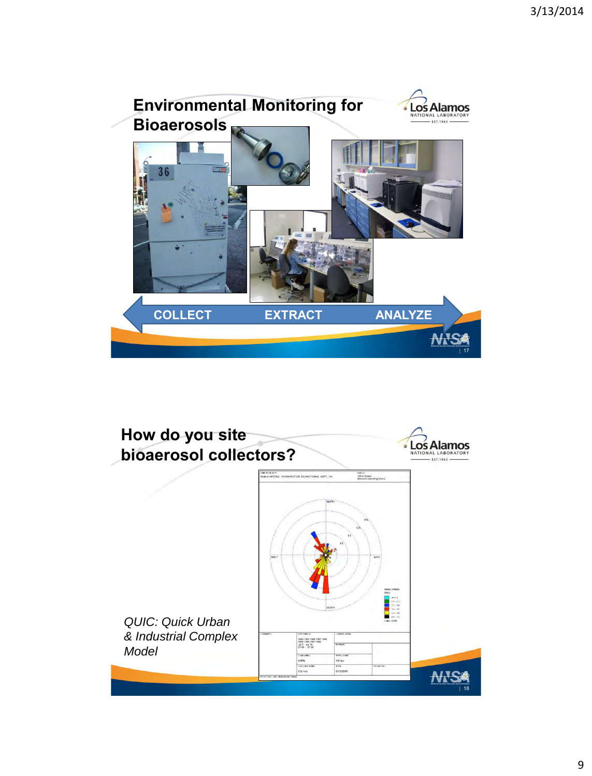

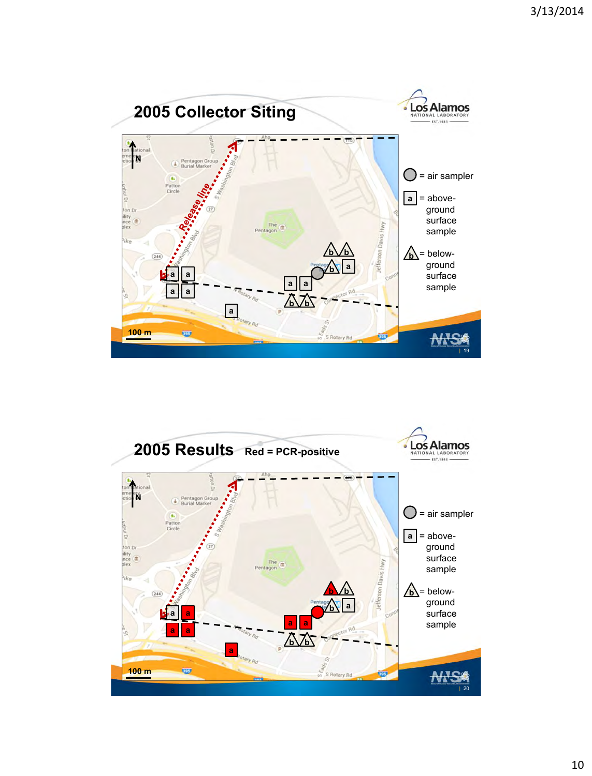

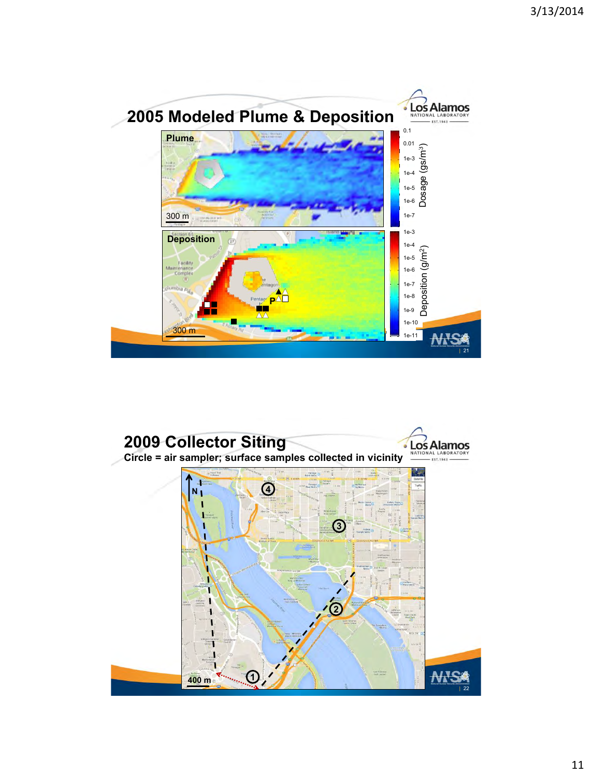

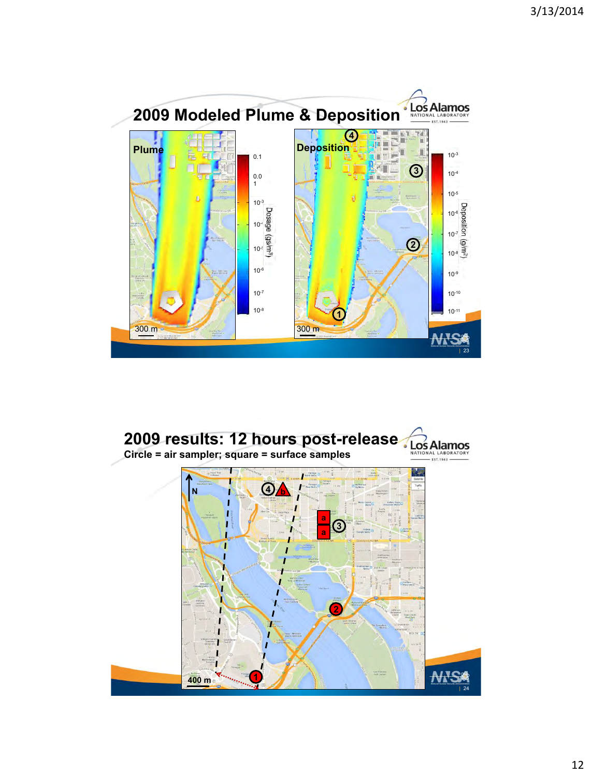

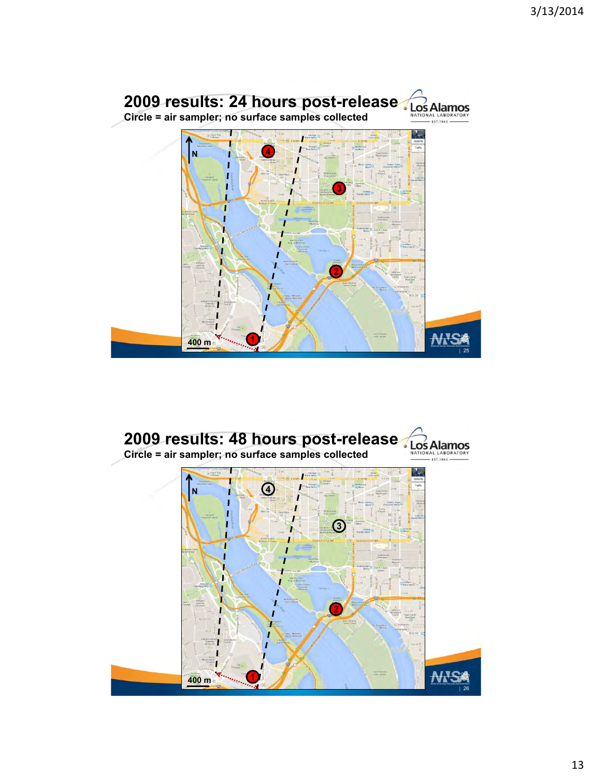

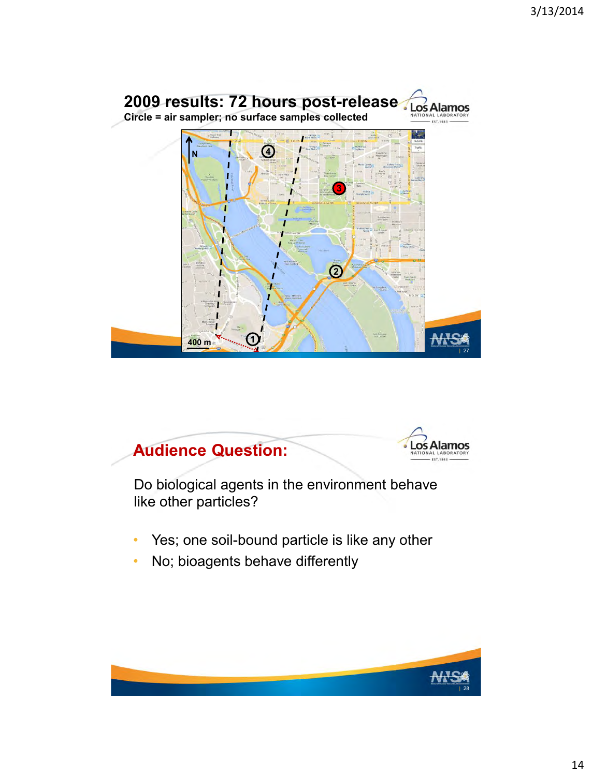



Do biological agents in the environment behave like other particles?

- Yes; one soil-bound particle is like any other
- No; bioagents behave differently

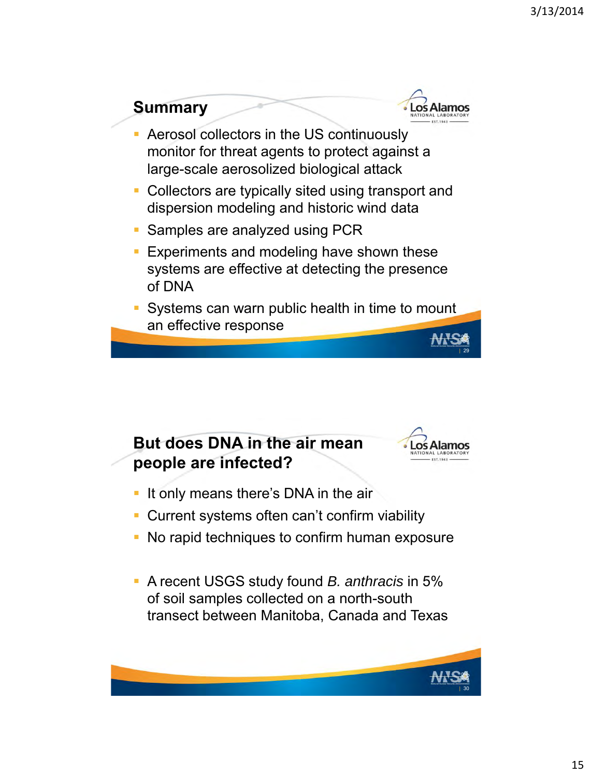

## **But does DNA in the air mean people are infected?**



- If only means there's DNA in the air
- **Current systems often can't confirm viability**
- No rapid techniques to confirm human exposure
- A recent USGS study found *B. anthracis* in 5% of soil samples collected on a north-south transect between Manitoba, Canada and Texas

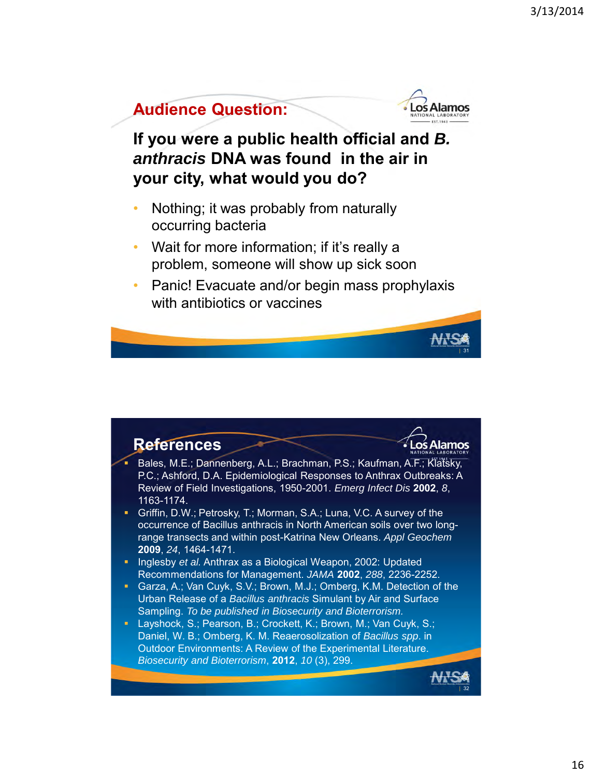| 31



**If you were a public health official and** *B. anthracis* **DNA was found in the air in your city, what would you do?**

- Nothing; it was probably from naturally occurring bacteria
- Wait for more information; if it's really a problem, someone will show up sick soon
- Panic! Evacuate and/or begin mass prophylaxis with antibiotics or vaccines

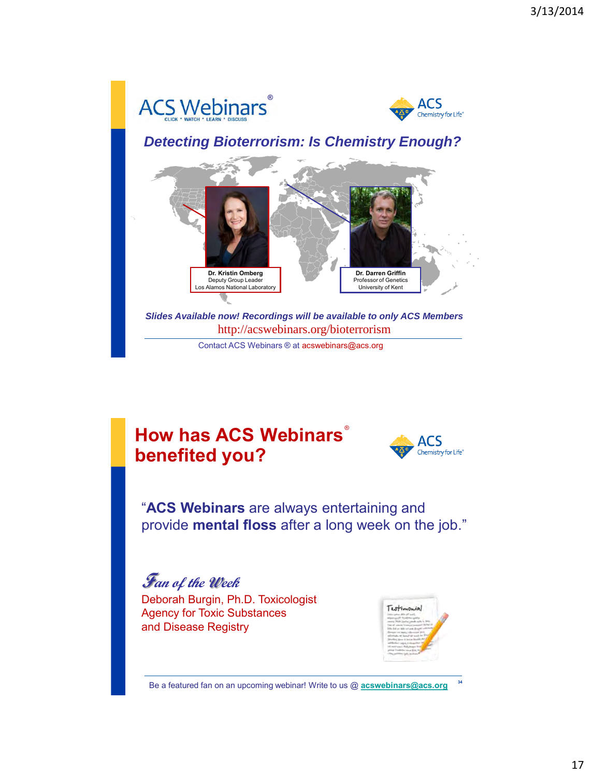

## **How has ACS Webinars**  ®**benefited you?**



"**ACS Webinars** are always entertaining and provide **mental floss** after a long week on the job."

**Fan of the Week** Deborah Burgin, Ph.D. Toxicologist Agency for Toxic Substances and Disease Registry



Be a featured fan on an upcoming webinar! Write to us @ **[acswebinars@acs.org](mailto:acswebinars@acs.org) <sup>34</sup>**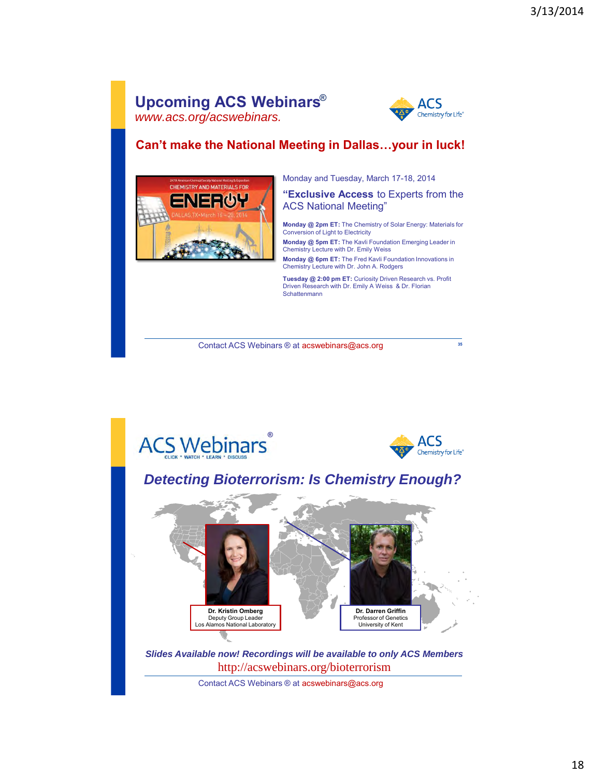#### **Upcoming ACS Webinars** ® *www.acs.org/acswebinars.*



**35**

#### **Can't make the National Meeting in Dallas…your in luck!**



Monday and Tuesday, March 17-18, 2014

**"Exclusive Access** to Experts from the ACS National Meeting"

**Monday @ 2pm ET:** The Chemistry of Solar Energy: Materials for Conversion of Light to Electricity

**Monday @ 5pm ET:** The Kavli Foundation Emerging Leader in Chemistry Lecture with Dr. Emily Weiss

**Monday @ 6pm ET:** The Fred Kavli Foundation Innovations in Chemistry Lecture with Dr. John A. Rodgers

**Tuesday @ 2:00 pm ET:** Curiosity Driven Research vs. Profit Driven Research with Dr. Emily A Weiss & Dr. Florian Schattenmann

Contact ACS Webinars ® at acswebinars@acs.org

**ACS Webinars** ACS Chemistry for Life® *Detecting Bioterrorism: Is Chemistry Enough?* **Dr. Kristin Omberg Dr. Darren Griffin** Professor of Genetics Deputy Group Leader Los Alamos National Laboratory University of Kent*Slides Available now! Recordings will be available to only ACS Members*  http://acswebinars.org/bioterrorism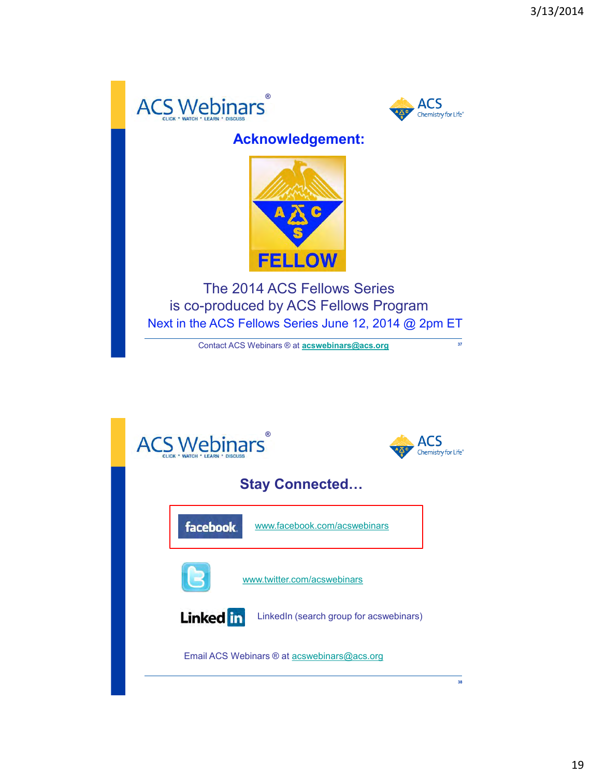



## **Acknowledgement:**



The 2014 ACS Fellows Series is co-produced by ACS Fellows Program Next in the ACS Fellows Series June 12, 2014 @ 2pm ET

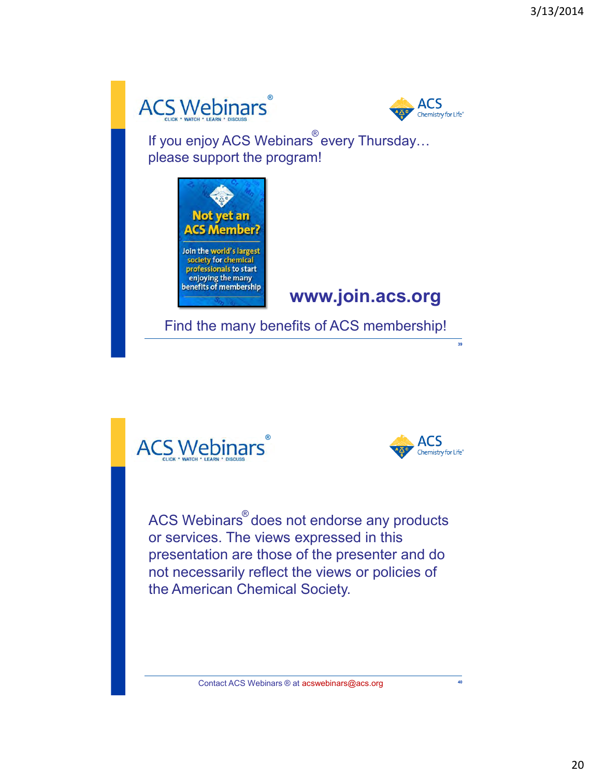



If you enjoy ACS Webinars every Thursday… please support the program!



## **www.join.acs.org**

Find the many benefits of ACS membership!





**39**

 $\mathsf{ACS}\ \mathsf{Webinars}^\circ$  does not endorse any products or services. The views expressed in this presentation are those of the presenter and do not necessarily reflect the views or policies of the American Chemical Society.